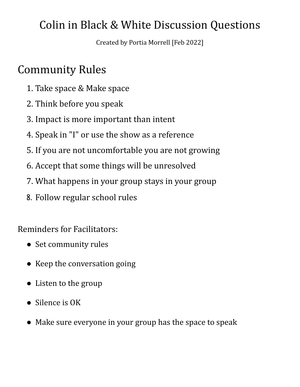## Colin in Black & White Discussion Questions

Created by Portia Morrell [Feb 2022]

## Community Rules

- 1. Take space & Make space
- 2. Think before you speak
- 3. Impact is more important than intent
- 4. Speak in "I" or use the show as a reference
- 5. If you are not uncomfortable you are not growing
- 6. Accept that some things will be unresolved
- 7. What happens in your group stays in your group
- 8. Follow regular school rules

Reminders for Facilitators:

- Set community rules
- Keep the conversation going
- Listen to the group
- Silence is OK
- Make sure everyone in your group has the space to speak